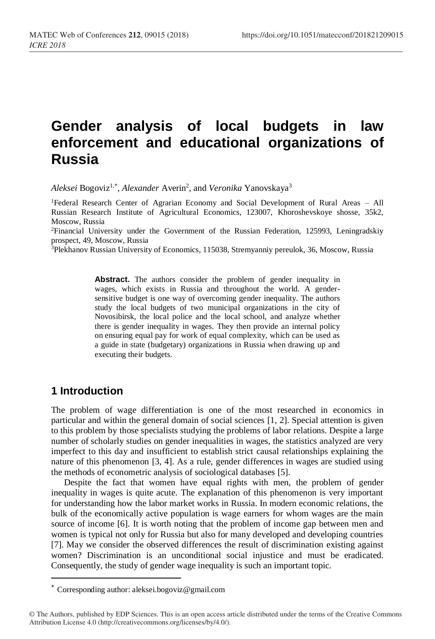# **Gender analysis of local budgets in law enforcement and educational organizations of Russia**

Aleksei Bogoviz<sup>1,\*</sup>, Alexander Averin<sup>2</sup>, and *Veronika* Yanovskaya<sup>3</sup>

<sup>1</sup>Federal Research Center of Agrarian Economy and Social Development of Rural Areas - All Russian Research Institute of Agricultural Economics, 123007, Khoroshevskoye shosse, 35k2, Moscow, Russia

<sup>2</sup>Financial University under the Government of the Russian Federation, 125993, Leningradskiy prospect, 49, Moscow, Russia

<sup>3</sup>Plekhanov Russian University of Economics, 115038, Stremyanniy pereulok, 36, Moscow, Russia

Abstract. The authors consider the problem of gender inequality in wages, which exists in Russia and throughout the world. A gendersensitive budget is one way of overcoming gender inequality. The authors study the local budgets of two municipal organizations in the city of Novosibirsk, the local police and the local school, and analyze whether there is gender inequality in wages. They then provide an internal policy on ensuring equal pay for work of equal complexity, which can be used as a guide in state (budgetary) organizations in Russia when drawing up and executing their budgets.

# **1 Introduction**

 $\overline{a}$ 

The problem of wage differentiation is one of the most researched in economics in particular and within the general domain of social sciences [1, 2]. Special attention is given to this problem by those specialists studying the problems of labor relations. Despite a large number of scholarly studies on gender inequalities in wages, the statistics analyzed are very imperfect to this day and insufficient to establish strict causal relationships explaining the nature of this phenomenon [3, 4]. As a rule, gender differences in wages are studied using the methods of econometric analysis of sociological databases [5].

Despite the fact that women have equal rights with men, the problem of gender inequality in wages is quite acute. The explanation of this phenomenon is very important for understanding how the labor market works in Russia. In modern economic relations, the bulk of the economically active population is wage earners for whom wages are the main source of income [6]. It is worth noting that the problem of income gap between men and women is typical not only for Russia but also for many developed and developing countries [7]. May we consider the observed differences the result of discrimination existing against women? Discrimination is an unconditional social injustice and must be eradicated. Consequently, the study of gender wage inequality is such an important topic.

<sup>\*</sup> Corresponding author: aleksei.bogoviz@gmail.com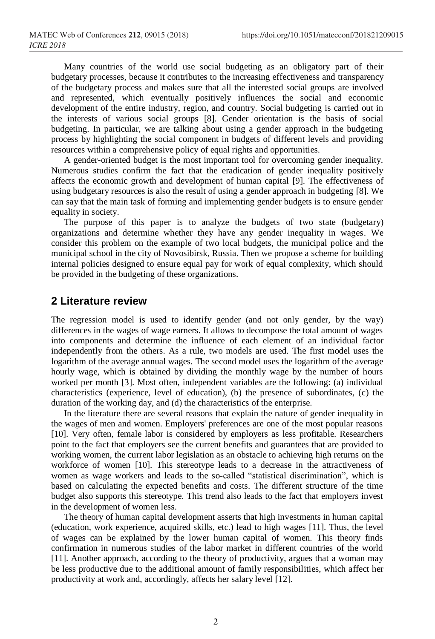Many countries of the world use social budgeting as an obligatory part of their budgetary processes, because it contributes to the increasing effectiveness and transparency of the budgetary process and makes sure that all the interested social groups are involved and represented, which eventually positively influences the social and economic development of the entire industry, region, and country. Social budgeting is carried out in the interests of various social groups [8]. Gender orientation is the basis of social budgeting. In particular, we are talking about using a gender approach in the budgeting process by highlighting the social component in budgets of different levels and providing resources within a comprehensive policy of equal rights and opportunities.

A gender-oriented budget is the most important tool for overcoming gender inequality. Numerous studies confirm the fact that the eradication of gender inequality positively affects the economic growth and development of human capital [9]. The effectiveness of using budgetary resources is also the result of using a gender approach in budgeting [8]. We can say that the main task of forming and implementing gender budgets is to ensure gender equality in society.

The purpose of this paper is to analyze the budgets of two state (budgetary) organizations and determine whether they have any gender inequality in wages. We consider this problem on the example of two local budgets, the municipal police and the municipal school in the city of Novosibirsk, Russia. Then we propose a scheme for building internal policies designed to ensure equal pay for work of equal complexity, which should be provided in the budgeting of these organizations.

#### **2 Literature review**

The regression model is used to identify gender (and not only gender, by the way) differences in the wages of wage earners. It allows to decompose the total amount of wages into components and determine the influence of each element of an individual factor independently from the others. As a rule, two models are used. The first model uses the logarithm of the average annual wages. The second model uses the logarithm of the average hourly wage, which is obtained by dividing the monthly wage by the number of hours worked per month [3]. Most often, independent variables are the following: (a) individual characteristics (experience, level of education), (b) the presence of subordinates, (c) the duration of the working day, and (d) the characteristics of the enterprise.

In the literature there are several reasons that explain the nature of gender inequality in the wages of men and women. Employers' preferences are one of the most popular reasons [10]. Very often, female labor is considered by employers as less profitable. Researchers point to the fact that employers see the current benefits and guarantees that are provided to working women, the current labor legislation as an obstacle to achieving high returns on the workforce of women [10]. This stereotype leads to a decrease in the attractiveness of women as wage workers and leads to the so-called "statistical discrimination", which is based on calculating the expected benefits and costs. The different structure of the time budget also supports this stereotype. This trend also leads to the fact that employers invest in the development of women less.

The theory of human capital development asserts that high investments in human capital (education, work experience, acquired skills, etc.) lead to high wages [11]. Thus, the level of wages can be explained by the lower human capital of women. This theory finds confirmation in numerous studies of the labor market in different countries of the world [11]. Another approach, according to the theory of productivity, argues that a woman may be less productive due to the additional amount of family responsibilities, which affect her productivity at work and, accordingly, affects her salary level [12].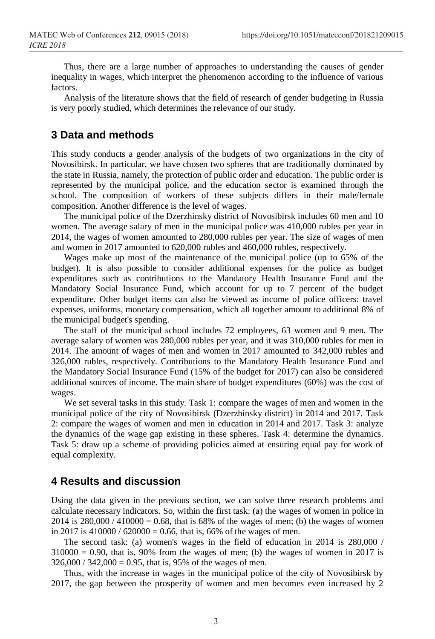Thus, there are a large number of approaches to understanding the causes of gender inequality in wages, which interpret the phenomenon according to the influence of various factors.

Analysis of the literature shows that the field of research of gender budgeting in Russia is very poorly studied, which determines the relevance of our study.

## **3 Data and methods**

This study conducts a gender analysis of the budgets of two organizations in the city of Novosibirsk. In particular, we have chosen two spheres that are traditionally dominated by the state in Russia, namely, the protection of public order and education. The public order is represented by the municipal police, and the education sector is examined through the school. The composition of workers of these subjects differs in their male/female composition. Another difference is the level of wages.

The municipal police of the Dzerzhinsky district of Novosibirsk includes 60 men and 10 women. The average salary of men in the municipal police was 410,000 rubles per year in 2014, the wages of women amounted to 280,000 rubles per year. The size of wages of men and women in 2017 amounted to 620,000 rubles and 460,000 rubles, respectively.

Wages make up most of the maintenance of the municipal police (up to 65% of the budget). It is also possible to consider additional expenses for the police as budget expenditures such as contributions to the Mandatory Health Insurance Fund and the Mandatory Social Insurance Fund, which account for up to 7 percent of the budget expenditure. Other budget items can also be viewed as income of police officers: travel expenses, uniforms, monetary compensation, which all together amount to additional 8% of the municipal budget's spending.

The staff of the municipal school includes 72 employees, 63 women and 9 men. The average salary of women was 280,000 rubles per year, and it was 310,000 rubles for men in 2014. The amount of wages of men and women in 2017 amounted to 342,000 rubles and 326,000 rubles, respectively. Contributions to the Mandatory Health Insurance Fund and the Mandatory Social Insurance Fund (15% of the budget for 2017) can also be considered additional sources of income. The main share of budget expenditures (60%) was the cost of wages.

We set several tasks in this study. Task 1: compare the wages of men and women in the municipal police of the city of Novosibirsk (Dzerzhinsky district) in 2014 and 2017. Task 2: compare the wages of women and men in education in 2014 and 2017. Task 3: analyze the dynamics of the wage gap existing in these spheres. Task 4: determine the dynamics. Task 5: draw up a scheme of providing policies aimed at ensuring equal pay for work of equal complexity.

#### **4 Results and discussion**

Using the data given in the previous section, we can solve three research problems and calculate necessary indicators. So, within the first task: (a) the wages of women in police in 2014 is  $280,000 / 410000 = 0.68$ , that is 68% of the wages of men; (b) the wages of women in 2017 is  $410000 / 620000 = 0.66$ , that is, 66% of the wages of men.

The second task: (a) women's wages in the field of education in 2014 is 280,000 /  $310000 = 0.90$ , that is, 90% from the wages of men; (b) the wages of women in 2017 is  $326,000 / 342,000 = 0.95$ , that is, 95% of the wages of men.

Thus, with the increase in wages in the municipal police of the city of Novosibirsk by 2017, the gap between the prosperity of women and men becomes even increased by 2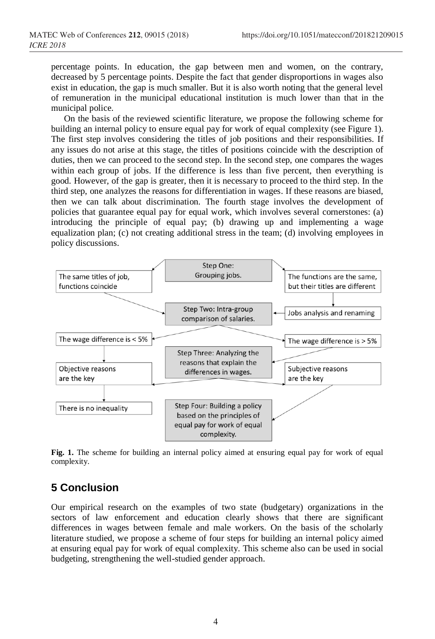percentage points. In education, the gap between men and women, on the contrary, decreased by 5 percentage points. Despite the fact that gender disproportions in wages also exist in education, the gap is much smaller. But it is also worth noting that the general level of remuneration in the municipal educational institution is much lower than that in the municipal police.

On the basis of the reviewed scientific literature, we propose the following scheme for building an internal policy to ensure equal pay for work of equal complexity (see Figure 1). The first step involves considering the titles of job positions and their responsibilities. If any issues do not arise at this stage, the titles of positions coincide with the description of duties, then we can proceed to the second step. In the second step, one compares the wages within each group of jobs. If the difference is less than five percent, then everything is good. However, of the gap is greater, then it is necessary to proceed to the third step. In the third step, one analyzes the reasons for differentiation in wages. If these reasons are biased, then we can talk about discrimination. The fourth stage involves the development of policies that guarantee equal pay for equal work, which involves several cornerstones: (a) introducing the principle of equal pay; (b) drawing up and implementing a wage equalization plan; (c) not creating additional stress in the team; (d) involving employees in policy discussions.



**Fig. 1.** The scheme for building an internal policy aimed at ensuring equal pay for work of equal complexity.

# **5 Conclusion**

Our empirical research on the examples of two state (budgetary) organizations in the sectors of law enforcement and education clearly shows that there are significant differences in wages between female and male workers. On the basis of the scholarly literature studied, we propose a scheme of four steps for building an internal policy aimed at ensuring equal pay for work of equal complexity. This scheme also can be used in social budgeting, strengthening the well-studied gender approach.